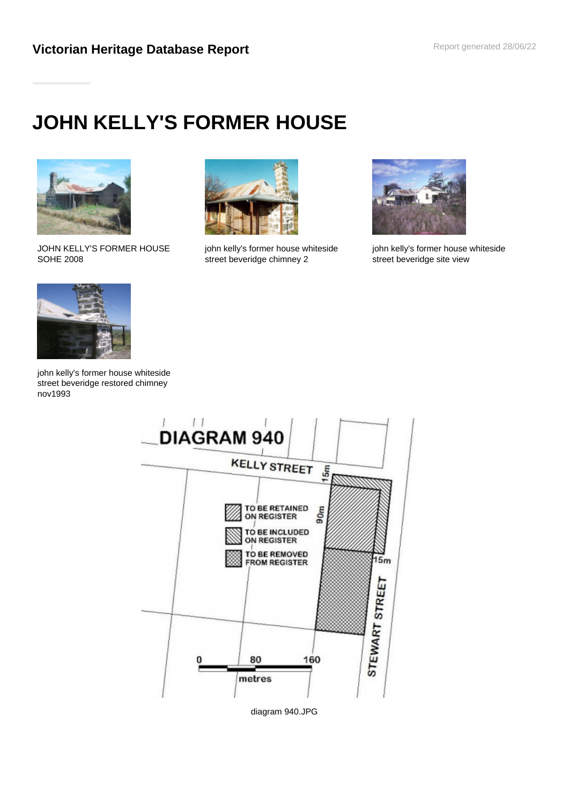# **JOHN KELLY'S FORMER HOUSE**



JOHN KELLY'S FORMER HOUSE SOHE 2008



john kelly's former house whiteside street beveridge chimney 2



john kelly's former house whiteside street beveridge site view



john kelly's former house whiteside street beveridge restored chimney nov1993



diagram 940.JPG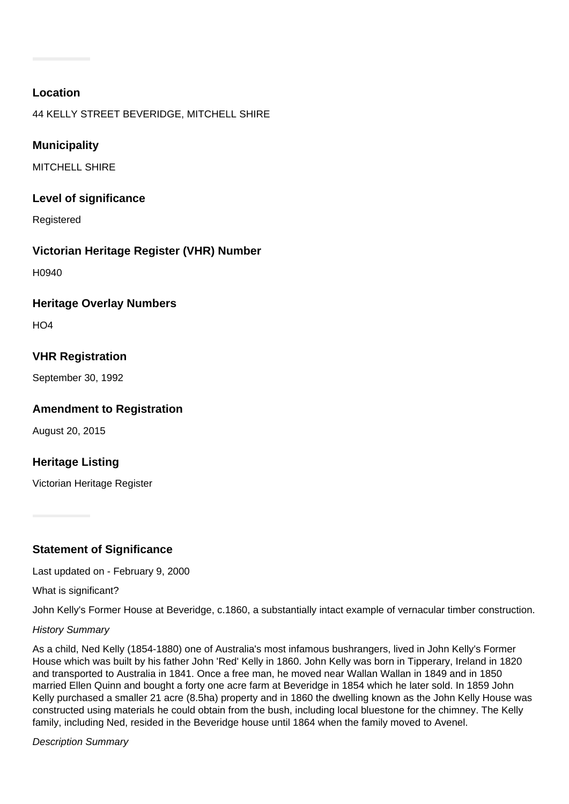## **Location**

44 KELLY STREET BEVERIDGE, MITCHELL SHIRE

## **Municipality**

MITCHELL SHIRE

#### **Level of significance**

Registered

# **Victorian Heritage Register (VHR) Number**

H0940

### **Heritage Overlay Numbers**

 $H<sub>O</sub>4$ 

# **VHR Registration**

September 30, 1992

### **Amendment to Registration**

August 20, 2015

# **Heritage Listing**

Victorian Heritage Register

# **Statement of Significance**

Last updated on - February 9, 2000

What is significant?

John Kelly's Former House at Beveridge, c.1860, a substantially intact example of vernacular timber construction.

#### History Summary

As a child, Ned Kelly (1854-1880) one of Australia's most infamous bushrangers, lived in John Kelly's Former House which was built by his father John 'Red' Kelly in 1860. John Kelly was born in Tipperary, Ireland in 1820 and transported to Australia in 1841. Once a free man, he moved near Wallan Wallan in 1849 and in 1850 married Ellen Quinn and bought a forty one acre farm at Beveridge in 1854 which he later sold. In 1859 John Kelly purchased a smaller 21 acre (8.5ha) property and in 1860 the dwelling known as the John Kelly House was constructed using materials he could obtain from the bush, including local bluestone for the chimney. The Kelly family, including Ned, resided in the Beveridge house until 1864 when the family moved to Avenel.

Description Summary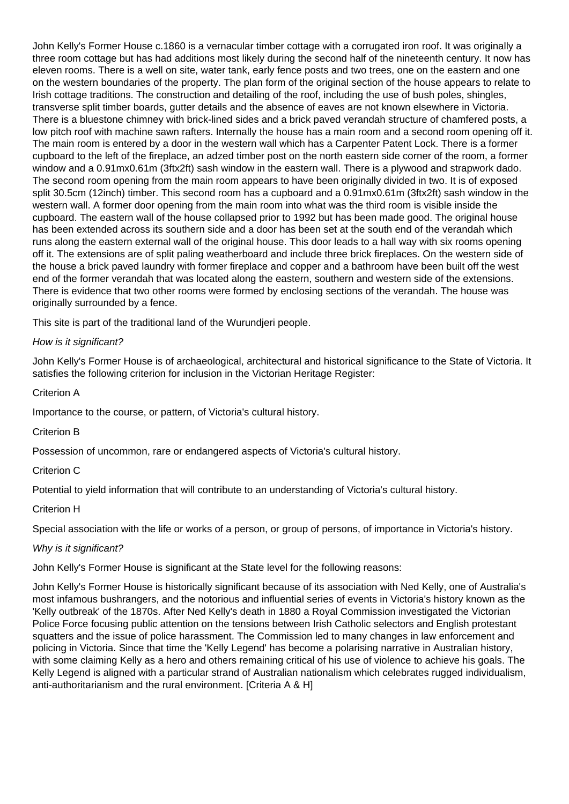John Kelly's Former House c.1860 is a vernacular timber cottage with a corrugated iron roof. It was originally a three room cottage but has had additions most likely during the second half of the nineteenth century. It now has eleven rooms. There is a well on site, water tank, early fence posts and two trees, one on the eastern and one on the western boundaries of the property. The plan form of the original section of the house appears to relate to Irish cottage traditions. The construction and detailing of the roof, including the use of bush poles, shingles, transverse split timber boards, gutter details and the absence of eaves are not known elsewhere in Victoria. There is a bluestone chimney with brick-lined sides and a brick paved verandah structure of chamfered posts, a low pitch roof with machine sawn rafters. Internally the house has a main room and a second room opening off it. The main room is entered by a door in the western wall which has a Carpenter Patent Lock. There is a former cupboard to the left of the fireplace, an adzed timber post on the north eastern side corner of the room, a former window and a 0.91mx0.61m (3ftx2ft) sash window in the eastern wall. There is a plywood and strapwork dado. The second room opening from the main room appears to have been originally divided in two. It is of exposed split 30.5cm (12inch) timber. This second room has a cupboard and a 0.91mx0.61m (3ftx2ft) sash window in the western wall. A former door opening from the main room into what was the third room is visible inside the cupboard. The eastern wall of the house collapsed prior to 1992 but has been made good. The original house has been extended across its southern side and a door has been set at the south end of the verandah which runs along the eastern external wall of the original house. This door leads to a hall way with six rooms opening off it. The extensions are of split paling weatherboard and include three brick fireplaces. On the western side of the house a brick paved laundry with former fireplace and copper and a bathroom have been built off the west end of the former verandah that was located along the eastern, southern and western side of the extensions. There is evidence that two other rooms were formed by enclosing sections of the verandah. The house was originally surrounded by a fence.

This site is part of the traditional land of the Wurundjeri people.

#### How is it significant?

John Kelly's Former House is of archaeological, architectural and historical significance to the State of Victoria. It satisfies the following criterion for inclusion in the Victorian Heritage Register:

Criterion A

Importance to the course, or pattern, of Victoria's cultural history.

Criterion B

Possession of uncommon, rare or endangered aspects of Victoria's cultural history.

Criterion C

Potential to yield information that will contribute to an understanding of Victoria's cultural history.

#### Criterion H

Special association with the life or works of a person, or group of persons, of importance in Victoria's history.

#### Why is it significant?

John Kelly's Former House is significant at the State level for the following reasons:

John Kelly's Former House is historically significant because of its association with Ned Kelly, one of Australia's most infamous bushrangers, and the notorious and influential series of events in Victoria's history known as the 'Kelly outbreak' of the 1870s. After Ned Kelly's death in 1880 a Royal Commission investigated the Victorian Police Force focusing public attention on the tensions between Irish Catholic selectors and English protestant squatters and the issue of police harassment. The Commission led to many changes in law enforcement and policing in Victoria. Since that time the 'Kelly Legend' has become a polarising narrative in Australian history, with some claiming Kelly as a hero and others remaining critical of his use of violence to achieve his goals. The Kelly Legend is aligned with a particular strand of Australian nationalism which celebrates rugged individualism, anti-authoritarianism and the rural environment. [Criteria A & H]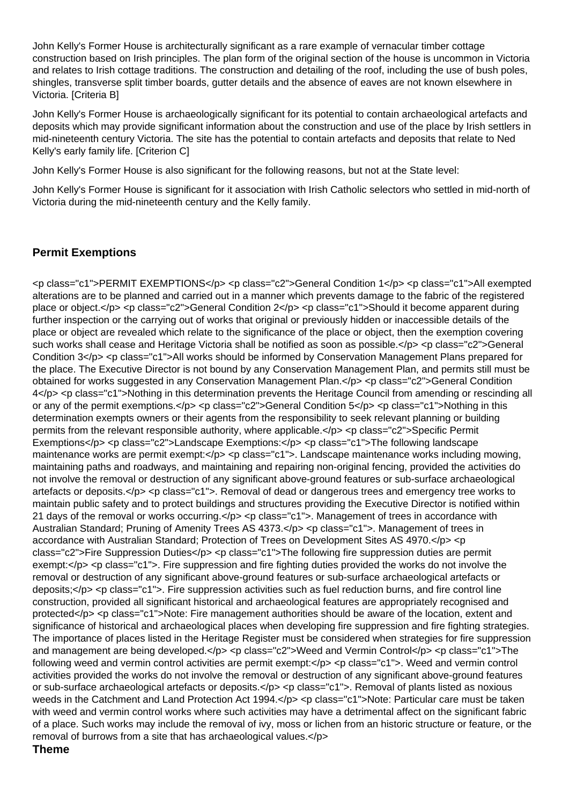John Kelly's Former House is architecturally significant as a rare example of vernacular timber cottage construction based on Irish principles. The plan form of the original section of the house is uncommon in Victoria and relates to Irish cottage traditions. The construction and detailing of the roof, including the use of bush poles, shingles, transverse split timber boards, gutter details and the absence of eaves are not known elsewhere in Victoria. [Criteria B]

John Kelly's Former House is archaeologically significant for its potential to contain archaeological artefacts and deposits which may provide significant information about the construction and use of the place by Irish settlers in mid-nineteenth century Victoria. The site has the potential to contain artefacts and deposits that relate to Ned Kelly's early family life. [Criterion C]

John Kelly's Former House is also significant for the following reasons, but not at the State level:

John Kelly's Former House is significant for it association with Irish Catholic selectors who settled in mid-north of Victoria during the mid-nineteenth century and the Kelly family.

# **Permit Exemptions**

<p class="c1">PERMIT EXEMPTIONS</p> <p class="c2">General Condition 1</p> <p class="c1">All exempted alterations are to be planned and carried out in a manner which prevents damage to the fabric of the registered place or object.</p> <p class="c2">General Condition 2</p> <p class="c1">Should it become apparent during further inspection or the carrying out of works that original or previously hidden or inaccessible details of the place or object are revealed which relate to the significance of the place or object, then the exemption covering such works shall cease and Heritage Victoria shall be notified as soon as possible.</p> <p class="c2">General Condition 3</p> <p class="c1">All works should be informed by Conservation Management Plans prepared for the place. The Executive Director is not bound by any Conservation Management Plan, and permits still must be obtained for works suggested in any Conservation Management Plan.</p> <p class="c2">General Condition 4</p> <p class="c1">Nothing in this determination prevents the Heritage Council from amending or rescinding all or any of the permit exemptions.</p> <p class="c2">General Condition 5</p> <p class="c1">Nothing in this determination exempts owners or their agents from the responsibility to seek relevant planning or building permits from the relevant responsible authority, where applicable.</p> <p class="c2">Specific Permit Exemptions</p> <p class="c2">Landscape Exemptions:</p> <p class="c1">The following landscape maintenance works are permit exempt:</p> <p class="c1">. Landscape maintenance works including mowing, maintaining paths and roadways, and maintaining and repairing non-original fencing, provided the activities do not involve the removal or destruction of any significant above-ground features or sub-surface archaeological artefacts or deposits.</p> <p class="c1">. Removal of dead or dangerous trees and emergency tree works to maintain public safety and to protect buildings and structures providing the Executive Director is notified within 21 days of the removal or works occurring.</p> <p class="c1">. Management of trees in accordance with Australian Standard; Pruning of Amenity Trees AS 4373.</p> <p class="c1">. Management of trees in accordance with Australian Standard; Protection of Trees on Development Sites AS 4970. $\lt p$  < p class="c2">Fire Suppression Duties</p> <p class="c1">The following fire suppression duties are permit exempt:</p> <p class="c1">. Fire suppression and fire fighting duties provided the works do not involve the removal or destruction of any significant above-ground features or sub-surface archaeological artefacts or deposits;</p> <p class="c1">. Fire suppression activities such as fuel reduction burns, and fire control line construction, provided all significant historical and archaeological features are appropriately recognised and protected</p> <p class="c1">Note: Fire management authorities should be aware of the location, extent and significance of historical and archaeological places when developing fire suppression and fire fighting strategies. The importance of places listed in the Heritage Register must be considered when strategies for fire suppression and management are being developed.</p> <p class="c2">Weed and Vermin Control</p> <p class="c1">The following weed and vermin control activities are permit exempt:</p> <p class="c1">. Weed and vermin control activities provided the works do not involve the removal or destruction of any significant above-ground features or sub-surface archaeological artefacts or deposits.</p> <p class="c1">. Removal of plants listed as noxious weeds in the Catchment and Land Protection Act 1994.</p> <p class="c1">Note: Particular care must be taken with weed and vermin control works where such activities may have a detrimental affect on the significant fabric of a place. Such works may include the removal of ivy, moss or lichen from an historic structure or feature, or the removal of burrows from a site that has archaeological values.</p> **Theme**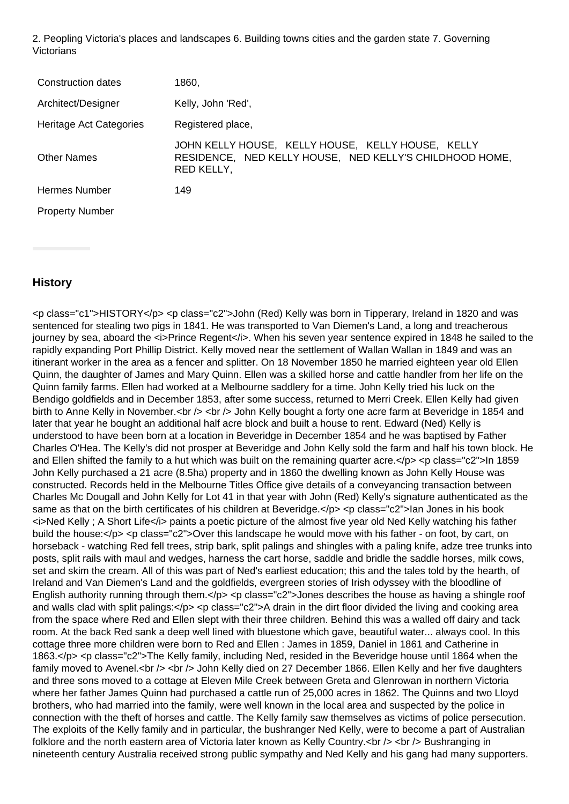2. Peopling Victoria's places and landscapes 6. Building towns cities and the garden state 7. Governing **Victorians** 

| Construction dates      | 1860,                                                                                                                      |
|-------------------------|----------------------------------------------------------------------------------------------------------------------------|
| Architect/Designer      | Kelly, John 'Red',                                                                                                         |
| Heritage Act Categories | Registered place,                                                                                                          |
| <b>Other Names</b>      | JOHN KELLY HOUSE, KELLY HOUSE, KELLY HOUSE, KELLY<br>RESIDENCE, NED KELLY HOUSE, NED KELLY'S CHILDHOOD HOME,<br>RED KELLY, |
| <b>Hermes Number</b>    | 149                                                                                                                        |
| <b>Property Number</b>  |                                                                                                                            |

# **History**

<p class="c1">HISTORY</p> <p class="c2">John (Red) Kelly was born in Tipperary, Ireland in 1820 and was sentenced for stealing two pigs in 1841. He was transported to Van Diemen's Land, a long and treacherous journey by sea, aboard the *<i>Prince Regent</i>*. When his seven year sentence expired in 1848 he sailed to the rapidly expanding Port Phillip District. Kelly moved near the settlement of Wallan Wallan in 1849 and was an itinerant worker in the area as a fencer and splitter. On 18 November 1850 he married eighteen year old Ellen Quinn, the daughter of James and Mary Quinn. Ellen was a skilled horse and cattle handler from her life on the Quinn family farms. Ellen had worked at a Melbourne saddlery for a time. John Kelly tried his luck on the Bendigo goldfields and in December 1853, after some success, returned to Merri Creek. Ellen Kelly had given birth to Anne Kelly in November.<br />> <br /> John Kelly bought a forty one acre farm at Beveridge in 1854 and later that year he bought an additional half acre block and built a house to rent. Edward (Ned) Kelly is understood to have been born at a location in Beveridge in December 1854 and he was baptised by Father Charles O'Hea. The Kelly's did not prosper at Beveridge and John Kelly sold the farm and half his town block. He and Ellen shifted the family to a hut which was built on the remaining quarter acre.</p> <p class="c2">In 1859 John Kelly purchased a 21 acre (8.5ha) property and in 1860 the dwelling known as John Kelly House was constructed. Records held in the Melbourne Titles Office give details of a conveyancing transaction between Charles Mc Dougall and John Kelly for Lot 41 in that year with John (Red) Kelly's signature authenticated as the same as that on the birth certificates of his children at Beveridge.</p> <p class="c2">Ian Jones in his book  $\le$ i>Ned Kelly ; A Short Life $\le$ /i> paints a poetic picture of the almost five year old Ned Kelly watching his father build the house:</p> <p class="c2">Over this landscape he would move with his father - on foot, by cart, on horseback - watching Red fell trees, strip bark, split palings and shingles with a paling knife, adze tree trunks into posts, split rails with maul and wedges, harness the cart horse, saddle and bridle the saddle horses, milk cows, set and skim the cream. All of this was part of Ned's earliest education; this and the tales told by the hearth, of Ireland and Van Diemen's Land and the goldfields, evergreen stories of Irish odyssey with the bloodline of English authority running through them.</p> <p class="c2">Jones describes the house as having a shingle roof and walls clad with split palings:</p> <p class="c2">A drain in the dirt floor divided the living and cooking area from the space where Red and Ellen slept with their three children. Behind this was a walled off dairy and tack room. At the back Red sank a deep well lined with bluestone which gave, beautiful water... always cool. In this cottage three more children were born to Red and Ellen : James in 1859, Daniel in 1861 and Catherine in 1863.</p> <p class="c2">The Kelly family, including Ned, resided in the Beveridge house until 1864 when the family moved to Avenel.<br /> <br /> John Kelly died on 27 December 1866. Ellen Kelly and her five daughters and three sons moved to a cottage at Eleven Mile Creek between Greta and Glenrowan in northern Victoria where her father James Quinn had purchased a cattle run of 25,000 acres in 1862. The Quinns and two Lloyd brothers, who had married into the family, were well known in the local area and suspected by the police in connection with the theft of horses and cattle. The Kelly family saw themselves as victims of police persecution. The exploits of the Kelly family and in particular, the bushranger Ned Kelly, were to become a part of Australian folklore and the north eastern area of Victoria later known as Kelly Country. $\langle$ br  $\rangle$   $\langle$ br  $\rangle$  Bushranging in nineteenth century Australia received strong public sympathy and Ned Kelly and his gang had many supporters.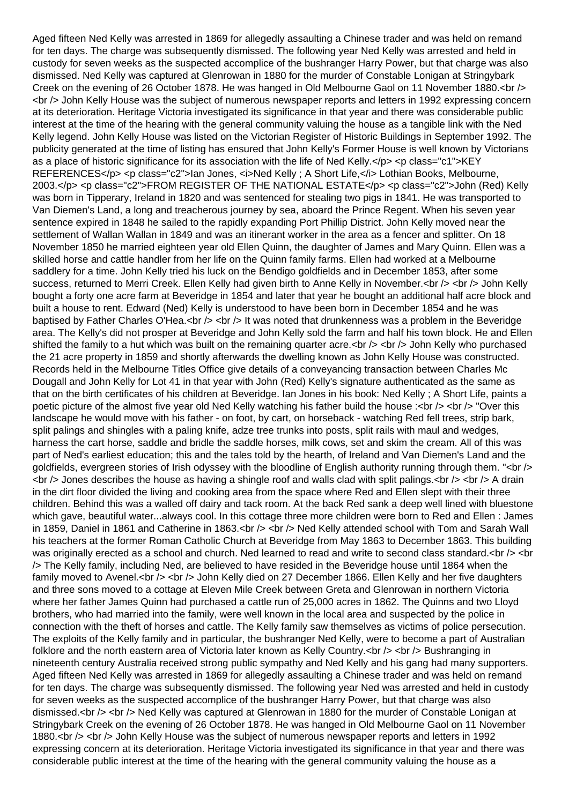Aged fifteen Ned Kelly was arrested in 1869 for allegedly assaulting a Chinese trader and was held on remand for ten days. The charge was subsequently dismissed. The following year Ned Kelly was arrested and held in custody for seven weeks as the suspected accomplice of the bushranger Harry Power, but that charge was also dismissed. Ned Kelly was captured at Glenrowan in 1880 for the murder of Constable Lonigan at Stringybark Creek on the evening of 26 October 1878. He was hanged in Old Melbourne Gaol on 11 November 1880.<br />> <br /> John Kelly House was the subject of numerous newspaper reports and letters in 1992 expressing concern at its deterioration. Heritage Victoria investigated its significance in that year and there was considerable public interest at the time of the hearing with the general community valuing the house as a tangible link with the Ned Kelly legend. John Kelly House was listed on the Victorian Register of Historic Buildings in September 1992. The publicity generated at the time of listing has ensured that John Kelly's Former House is well known by Victorians as a place of historic significance for its association with the life of Ned Kelly.</p> <p class="c1">KEY REFERENCES</p> <p class="c2">Ian Jones, <i>Ned Kelly ; A Short Life,</i> Lothian Books, Melbourne, 2003.</p> <p class="c2">FROM REGISTER OF THE NATIONAL ESTATE</p> <p class="c2">John (Red) Kelly was born in Tipperary, Ireland in 1820 and was sentenced for stealing two pigs in 1841. He was transported to Van Diemen's Land, a long and treacherous journey by sea, aboard the Prince Regent. When his seven year sentence expired in 1848 he sailed to the rapidly expanding Port Phillip District. John Kelly moved near the settlement of Wallan Wallan in 1849 and was an itinerant worker in the area as a fencer and splitter. On 18 November 1850 he married eighteen year old Ellen Quinn, the daughter of James and Mary Quinn. Ellen was a skilled horse and cattle handler from her life on the Quinn family farms. Ellen had worked at a Melbourne saddlery for a time. John Kelly tried his luck on the Bendigo goldfields and in December 1853, after some success, returned to Merri Creek. Ellen Kelly had given birth to Anne Kelly in November.<br />> <br />> John Kelly bought a forty one acre farm at Beveridge in 1854 and later that year he bought an additional half acre block and built a house to rent. Edward (Ned) Kelly is understood to have been born in December 1854 and he was baptised by Father Charles O'Hea.<br />> <br />  $\epsilon$  It was noted that drunkenness was a problem in the Beveridge area. The Kelly's did not prosper at Beveridge and John Kelly sold the farm and half his town block. He and Ellen shifted the family to a hut which was built on the remaining quarter acre.<br />> <br />> <br /> John Kelly who purchased the 21 acre property in 1859 and shortly afterwards the dwelling known as John Kelly House was constructed. Records held in the Melbourne Titles Office give details of a conveyancing transaction between Charles Mc Dougall and John Kelly for Lot 41 in that year with John (Red) Kelly's signature authenticated as the same as that on the birth certificates of his children at Beveridge. Ian Jones in his book: Ned Kelly ; A Short Life, paints a poetic picture of the almost five year old Ned Kelly watching his father build the house : $\langle$ br  $/$ >  $\langle$ br  $/$ > "Over this landscape he would move with his father - on foot, by cart, on horseback - watching Red fell trees, strip bark, split palings and shingles with a paling knife, adze tree trunks into posts, split rails with maul and wedges, harness the cart horse, saddle and bridle the saddle horses, milk cows, set and skim the cream. All of this was part of Ned's earliest education; this and the tales told by the hearth, of Ireland and Van Diemen's Land and the goldfields, evergreen stories of Irish odyssey with the bloodline of English authority running through them. "<br />  $\langle$  -sbr /> Jones describes the house as having a shingle roof and walls clad with split palings. $\langle$ br />  $\rangle$  -shr /> A drain in the dirt floor divided the living and cooking area from the space where Red and Ellen slept with their three children. Behind this was a walled off dairy and tack room. At the back Red sank a deep well lined with bluestone which gave, beautiful water...always cool. In this cottage three more children were born to Red and Ellen : James in 1859, Daniel in 1861 and Catherine in 1863.<br />> <br />> Ned Kelly attended school with Tom and Sarah Wall his teachers at the former Roman Catholic Church at Beveridge from May 1863 to December 1863. This building was originally erected as a school and church. Ned learned to read and write to second class standard.<br />>> <br />
<br />
<br />
<br />
<br />
<br />
<br />
<br />
<br />
<br />
<br />
<br />
<br />
<br />
<br />
<br /> /> The Kelly family, including Ned, are believed to have resided in the Beveridge house until 1864 when the family moved to Avenel.<br /> <br /> John Kelly died on 27 December 1866. Ellen Kelly and her five daughters and three sons moved to a cottage at Eleven Mile Creek between Greta and Glenrowan in northern Victoria where her father James Quinn had purchased a cattle run of 25,000 acres in 1862. The Quinns and two Lloyd brothers, who had married into the family, were well known in the local area and suspected by the police in connection with the theft of horses and cattle. The Kelly family saw themselves as victims of police persecution. The exploits of the Kelly family and in particular, the bushranger Ned Kelly, were to become a part of Australian folklore and the north eastern area of Victoria later known as Kelly Country. $\langle$ br  $\rangle$   $\langle$ br  $\rangle$  Bushranging in nineteenth century Australia received strong public sympathy and Ned Kelly and his gang had many supporters. Aged fifteen Ned Kelly was arrested in 1869 for allegedly assaulting a Chinese trader and was held on remand for ten days. The charge was subsequently dismissed. The following year Ned was arrested and held in custody for seven weeks as the suspected accomplice of the bushranger Harry Power, but that charge was also dismissed.<br /> <br /> Ned Kelly was captured at Glenrowan in 1880 for the murder of Constable Lonigan at Stringybark Creek on the evening of 26 October 1878. He was hanged in Old Melbourne Gaol on 11 November 1880.<br /> <br /> John Kelly House was the subject of numerous newspaper reports and letters in 1992 expressing concern at its deterioration. Heritage Victoria investigated its significance in that year and there was considerable public interest at the time of the hearing with the general community valuing the house as a